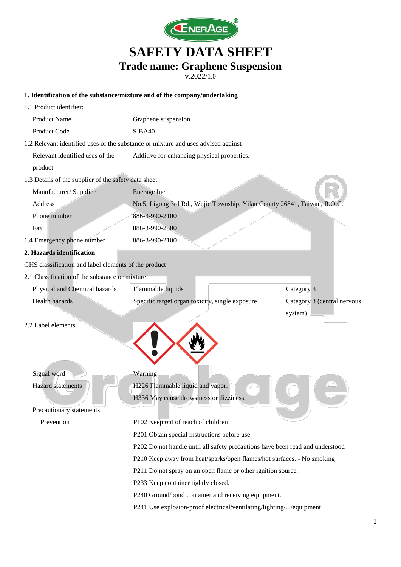

v.2022/1.0

### **1. Identification of the substance/mixture and of the company/undertaking**

| 1.1 Product identifier:                                                                                                                                 |                                                                                   |                             |  |
|---------------------------------------------------------------------------------------------------------------------------------------------------------|-----------------------------------------------------------------------------------|-----------------------------|--|
| Product Name                                                                                                                                            | Graphene suspension                                                               |                             |  |
| Product Code                                                                                                                                            | $S-BA40$                                                                          |                             |  |
|                                                                                                                                                         | 1.2 Relevant identified uses of the substance or mixture and uses advised against |                             |  |
| Relevant identified uses of the                                                                                                                         | Additive for enhancing physical properties.                                       |                             |  |
| product                                                                                                                                                 |                                                                                   |                             |  |
| 1.3 Details of the supplier of the safety data sheet                                                                                                    |                                                                                   |                             |  |
| Manufacturer/ Supplier                                                                                                                                  | Enerage Inc.                                                                      |                             |  |
| <b>Address</b>                                                                                                                                          | No.5, Ligong 3rd Rd., Wujie Township, Yilan County 26841, Taiwan, R.O             |                             |  |
| Phone number                                                                                                                                            | 886-3-990-2100                                                                    |                             |  |
| Fax                                                                                                                                                     | 886-3-990-2500                                                                    |                             |  |
| 1.4 Emergency phone number                                                                                                                              | 886-3-990-2100                                                                    |                             |  |
| 2. Hazards identification                                                                                                                               |                                                                                   |                             |  |
| GHS classification and label elements of the product                                                                                                    |                                                                                   |                             |  |
| 2.1 Classification of the substance or mixture                                                                                                          |                                                                                   |                             |  |
| Physical and Chemical hazards                                                                                                                           | Flammable liquids                                                                 | Category 3                  |  |
| Health hazards                                                                                                                                          | Specific target organ toxicity, single exposure                                   | Category 3 (central nervous |  |
|                                                                                                                                                         |                                                                                   | system)                     |  |
| 2.2 Label elements                                                                                                                                      |                                                                                   |                             |  |
| Signal word                                                                                                                                             | Warning                                                                           |                             |  |
| <b>Hazard</b> statements                                                                                                                                | H226 Flammable liquid and vapor.                                                  |                             |  |
|                                                                                                                                                         | H336 May cause drowsiness or dizziness.                                           |                             |  |
| Precautionary statements                                                                                                                                |                                                                                   |                             |  |
| Prevention                                                                                                                                              | P102 Keep out of reach of children                                                |                             |  |
|                                                                                                                                                         | P201 Obtain special instructions before use                                       |                             |  |
| P202 Do not handle until all safety precautions have been read and understood<br>P210 Keep away from heat/sparks/open flames/hot surfaces. - No smoking |                                                                                   |                             |  |
|                                                                                                                                                         |                                                                                   |                             |  |
|                                                                                                                                                         | P233 Keep container tightly closed.                                               |                             |  |
| P240 Ground/bond container and receiving equipment.                                                                                                     |                                                                                   |                             |  |
|                                                                                                                                                         | P241 Use explosion-proof electrical/ventilating/lighting//equipment               |                             |  |
|                                                                                                                                                         |                                                                                   |                             |  |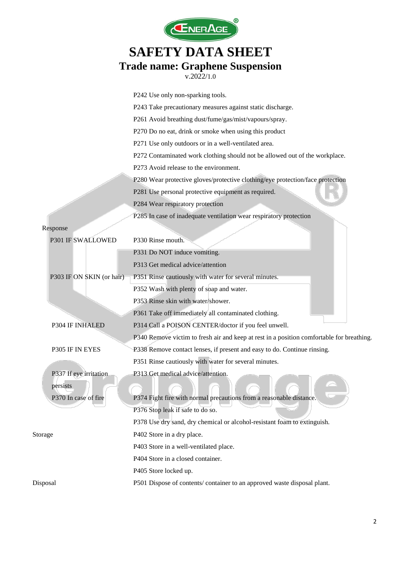

|          |                           | P242 Use only non-sparking tools.                                                        |  |  |
|----------|---------------------------|------------------------------------------------------------------------------------------|--|--|
|          |                           | P243 Take precautionary measures against static discharge.                               |  |  |
|          |                           | P261 Avoid breathing dust/fume/gas/mist/vapours/spray.                                   |  |  |
|          |                           | P270 Do no eat, drink or smoke when using this product                                   |  |  |
|          |                           | P271 Use only outdoors or in a well-ventilated area.                                     |  |  |
|          |                           | P272 Contaminated work clothing should not be allowed out of the workplace.              |  |  |
|          |                           | P273 Avoid release to the environment.                                                   |  |  |
|          |                           | P280 Wear protective gloves/protective clothing/eye protection/face protection           |  |  |
|          |                           | P281 Use personal protective equipment as required.                                      |  |  |
|          |                           | P284 Wear respiratory protection                                                         |  |  |
|          |                           | P285 In case of inadequate ventilation wear respiratory protection                       |  |  |
|          | Response                  |                                                                                          |  |  |
|          | P301 IF SWALLOWED         | P330 Rinse mouth.                                                                        |  |  |
|          |                           | P331 Do NOT induce vomiting.                                                             |  |  |
|          |                           | P313 Get medical advice/attention                                                        |  |  |
|          | P303 IF ON SKIN (or hair) | P351 Rinse cautiously with water for several minutes.                                    |  |  |
|          |                           | P352 Wash with plenty of soap and water.                                                 |  |  |
|          |                           | P353 Rinse skin with water/shower.                                                       |  |  |
|          |                           | P361 Take off immediately all contaminated clothing.                                     |  |  |
|          | P304 IF INHALED           | P314 Call a POISON CENTER/doctor if you feel unwell.                                     |  |  |
|          |                           | P340 Remove victim to fresh air and keep at rest in a position comfortable for breathing |  |  |
|          | P305 IF IN EYES           | P338 Remove contact lenses, if present and easy to do. Continue rinsing.                 |  |  |
|          |                           | P351 Rinse cautiously with water for several minutes.                                    |  |  |
|          | P337 If eye irritation    | P313 Get medical advice/attention.                                                       |  |  |
|          | persists                  |                                                                                          |  |  |
|          | P370 In case of fire      | P374 Fight fire with normal precautions from a reasonable distance.                      |  |  |
|          |                           | P376 Stop leak if safe to do so.                                                         |  |  |
|          |                           | P378 Use dry sand, dry chemical or alcohol-resistant foam to extinguish.                 |  |  |
| Storage  |                           | P402 Store in a dry place.                                                               |  |  |
|          |                           | P403 Store in a well-ventilated place.                                                   |  |  |
|          |                           | P404 Store in a closed container.                                                        |  |  |
|          |                           | P405 Store locked up.                                                                    |  |  |
| Disposal |                           | P501 Dispose of contents/container to an approved waste disposal plant.                  |  |  |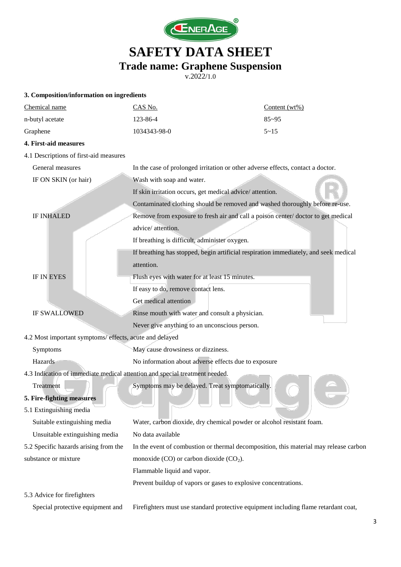

| 3. Composition/information on ingredients                                   |                                                                                       |                  |  |
|-----------------------------------------------------------------------------|---------------------------------------------------------------------------------------|------------------|--|
| Chemical name                                                               | CAS No.                                                                               | Content $(wt\%)$ |  |
| n-butyl acetate                                                             | 123-86-4                                                                              | $85 - 95$        |  |
| Graphene                                                                    | 1034343-98-0                                                                          | $5 - 15$         |  |
| 4. First-aid measures                                                       |                                                                                       |                  |  |
| 4.1 Descriptions of first-aid measures                                      |                                                                                       |                  |  |
| General measures                                                            | In the case of prolonged irritation or other adverse effects, contact a doctor.       |                  |  |
| IF ON SKIN (or hair)                                                        | Wash with soap and water.                                                             |                  |  |
|                                                                             | If skin irritation occurs, get medical advice/attention.                              |                  |  |
|                                                                             | Contaminated clothing should be removed and washed thoroughly before re-use.          |                  |  |
| <b>IF INHALED</b>                                                           | Remove from exposure to fresh air and call a poison center/doctor to get medical      |                  |  |
|                                                                             | advice/attention.                                                                     |                  |  |
|                                                                             | If breathing is difficult, administer oxygen.                                         |                  |  |
|                                                                             | If breathing has stopped, begin artificial respiration immediately, and seek medical  |                  |  |
|                                                                             | attention.                                                                            |                  |  |
| <b>IF IN EYES</b>                                                           | Flush eyes with water for at least 15 minutes.                                        |                  |  |
|                                                                             | If easy to do, remove contact lens.                                                   |                  |  |
|                                                                             | Get medical attention                                                                 |                  |  |
| <b>IF SWALLOWED</b>                                                         | Rinse mouth with water and consult a physician.                                       |                  |  |
|                                                                             | Never give anything to an unconscious person.                                         |                  |  |
| 4.2 Most important symptoms/ effects, acute and delayed                     |                                                                                       |                  |  |
| Symptoms                                                                    | May cause drowsiness or dizziness.                                                    |                  |  |
| Hazards                                                                     | No information about adverse effects due to exposure                                  |                  |  |
| 4.3 Indication of immediate medical attention and special treatment needed. |                                                                                       |                  |  |
| Treatment                                                                   | Symptoms may be delayed. Treat symptomatically.                                       |                  |  |
| 5. Fire-fighting measures                                                   |                                                                                       |                  |  |
| 5.1 Extinguishing media                                                     |                                                                                       |                  |  |
| Suitable extinguishing media                                                | Water, carbon dioxide, dry chemical powder or alcohol resistant foam.                 |                  |  |
| Unsuitable extinguishing media                                              | No data available                                                                     |                  |  |
| 5.2 Specific hazards arising from the                                       | In the event of combustion or thermal decomposition, this material may release carbon |                  |  |
| substance or mixture                                                        | monoxide $(CO)$ or carbon dioxide $(CO2)$ .                                           |                  |  |
|                                                                             | Flammable liquid and vapor.                                                           |                  |  |
|                                                                             | Prevent buildup of vapors or gases to explosive concentrations.                       |                  |  |
| 5.3 Advice for firefighters                                                 |                                                                                       |                  |  |
| Special protective equipment and                                            | Firefighters must use standard protective equipment including flame retardant coat,   |                  |  |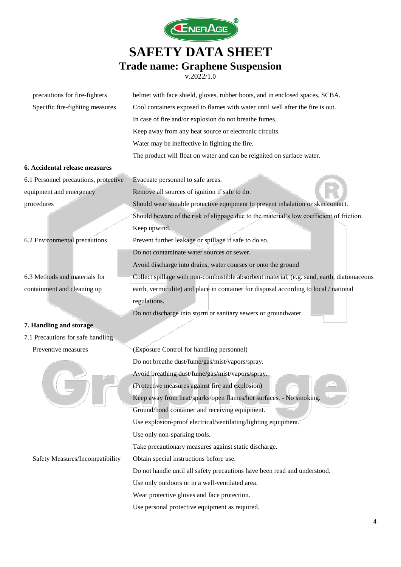

| precautions for fire-fighters         | helmet with face shield, gloves, rubber boots, and in enclosed spaces, SCBA.              |  |  |
|---------------------------------------|-------------------------------------------------------------------------------------------|--|--|
| Specific fire-fighting measures       | Cool containers exposed to flames with water until well after the fire is out.            |  |  |
|                                       | In case of fire and/or explosion do not breathe fumes.                                    |  |  |
|                                       | Keep away from any heat source or electronic circuits.                                    |  |  |
|                                       | Water may be ineffective in fighting the fire.                                            |  |  |
|                                       | The product will float on water and can be reignited on surface water.                    |  |  |
| 6. Accidental release measures        |                                                                                           |  |  |
| 6.1 Personnel precautions, protective | Evacuate personnel to safe areas.                                                         |  |  |
| equipment and emergency               | Remove all sources of ignition if safe to do.                                             |  |  |
| procedures                            | Should wear suitable protective equipment to prevent inhalation or skin contact.          |  |  |
|                                       | Should beware of the risk of slippage due to the material's low coefficient of friction.  |  |  |
|                                       | Keep upwind.                                                                              |  |  |
| 6.2 Environmental precautions         | Prevent further leakage or spillage if safe to do so.                                     |  |  |
|                                       | Do not contaminate water sources or sewer.                                                |  |  |
|                                       | Avoid discharge into drains, water courses or onto the ground                             |  |  |
| 6.3 Methods and materials for         | Collect spillage with non-combustible absorbent material, (e.g. sand, earth, diatomaceous |  |  |
| containment and cleaning up           | earth, vermiculite) and place in container for disposal according to local / national     |  |  |
|                                       | regulations.                                                                              |  |  |
|                                       | Do not discharge into storm or sanitary sewers or groundwater.                            |  |  |
| 7. Handling and storage               |                                                                                           |  |  |
| 7.1 Precautions for safe handling     |                                                                                           |  |  |
| Preventive measures                   | (Exposure Control for handling personnel)                                                 |  |  |
|                                       | Do not breathe dust/fume/gas/mist/vapors/spray.                                           |  |  |
|                                       | Avoid breathing dust/fume/gas/mist/vapors/spray.                                          |  |  |
|                                       | (Protective measures against fire and explosion)                                          |  |  |
|                                       | Keep away from heat/sparks/open flames/hot surfaces. - No smoking.                        |  |  |
|                                       | Ground/bond container and receiving equipment.                                            |  |  |
|                                       | Use explosion-proof electrical/ventilating/lighting equipment.                            |  |  |
|                                       | Use only non-sparking tools.                                                              |  |  |
|                                       | Take precautionary measures against static discharge.                                     |  |  |
| Safety Measures/Incompatibility       | Obtain special instructions before use.                                                   |  |  |
|                                       | Do not handle until all safety precautions have been read and understood.                 |  |  |
|                                       | Use only outdoors or in a well-ventilated area.                                           |  |  |
|                                       | Wear protective gloves and face protection.                                               |  |  |
|                                       | Use personal protective equipment as required.                                            |  |  |
|                                       |                                                                                           |  |  |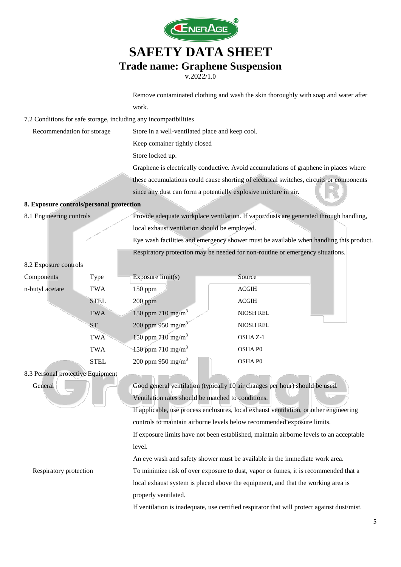

v.2022/1.0

Remove contaminated clothing and wash the skin thoroughly with soap and water after work.

7.2 Conditions for safe storage, including any incompatibilities

| Recommendation for storage | Store in a well-ventilated place and keep cool.                                         |
|----------------------------|-----------------------------------------------------------------------------------------|
|                            | Keep container tightly closed                                                           |
|                            | Store locked up.                                                                        |
|                            | Graphene is electrically conductive. Avoid accumulations of graphene in places where    |
|                            | these accumulations could cause shorting of electrical switches, circuits or components |
|                            | since any dust can form a potentially explosive mixture in air.                         |

#### **8. Exposure controls/personal protection**

8.1 Engineering controls Provide adequate workplace ventilation. If vapor/dusts are generated through handling, local exhaust ventilation should be employed.

> Eye wash facilities and emergency shower must be available when handling this product. Respiratory protection may be needed for non-routine or emergency situations.

#### 8.2 Exposure controls

| Components      | <b>Type</b> | Exposure $limit(s)$           | Source           |
|-----------------|-------------|-------------------------------|------------------|
| n-butyl acetate | <b>TWA</b>  | $150$ ppm                     | <b>ACGIH</b>     |
|                 | <b>STEL</b> | $200$ ppm                     | <b>ACGIH</b>     |
|                 | <b>TWA</b>  | 150 ppm 710 mg/m <sup>3</sup> | <b>NIOSH REL</b> |
|                 | <b>ST</b>   | 200 ppm 950 mg/m <sup>3</sup> | <b>NIOSH REL</b> |
|                 | <b>TWA</b>  | 150 ppm 710 mg/m <sup>3</sup> | OSHA Z-1         |
|                 | <b>TWA</b>  | 150 ppm 710 mg/m <sup>3</sup> | <b>OSHAPO</b>    |
|                 | <b>STEL</b> | 200 ppm 950 mg/m <sup>3</sup> | <b>OSHAPO</b>    |

#### 8.3 Personal protective Equipment

General Good general ventilation (typically 10 air changes per hour) should be used. Ventilation rates should be matched to conditions.

> If applicable, use process enclosures, local exhaust ventilation, or other engineering controls to maintain airborne levels below recommended exposure limits. If exposure limits have not been established, maintain airborne levels to an acceptable level.

An eye wash and safety shower must be available in the immediate work area.

Respiratory protection To minimize risk of over exposure to dust, vapor or fumes, it is recommended that a local exhaust system is placed above the equipment, and that the working area is properly ventilated.

If ventilation is inadequate, use certified respirator that will protect against dust/mist.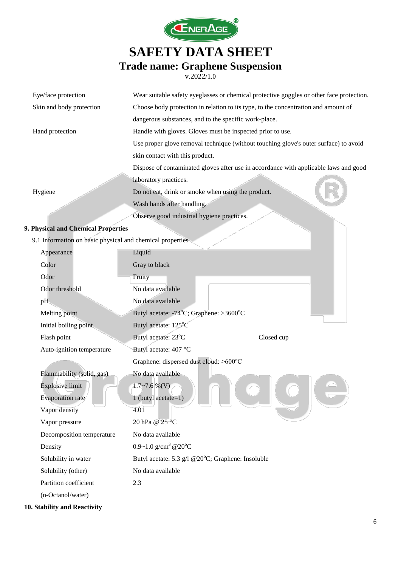

v.2022/1.0

| Eye/face protection                                       | Wear suitable safety eyeglasses or chemical protective goggles or other face protection. |  |  |
|-----------------------------------------------------------|------------------------------------------------------------------------------------------|--|--|
| Skin and body protection                                  | Choose body protection in relation to its type, to the concentration and amount of       |  |  |
|                                                           | dangerous substances, and to the specific work-place.                                    |  |  |
| Hand protection                                           | Handle with gloves. Gloves must be inspected prior to use.                               |  |  |
|                                                           | Use proper glove removal technique (without touching glove's outer surface) to avoid     |  |  |
|                                                           | skin contact with this product.                                                          |  |  |
|                                                           | Dispose of contaminated gloves after use in accordance with applicable laws and good     |  |  |
|                                                           | laboratory practices.                                                                    |  |  |
| Hygiene                                                   | Do not eat, drink or smoke when using the product.                                       |  |  |
|                                                           | Wash hands after handling.                                                               |  |  |
|                                                           | Observe good industrial hygiene practices.                                               |  |  |
| 9. Physical and Chemical Properties                       |                                                                                          |  |  |
| 9.1 Information on basic physical and chemical properties |                                                                                          |  |  |
| Appearance                                                | Liquid                                                                                   |  |  |
| Color                                                     | Gray to black                                                                            |  |  |
| Odor                                                      | Fruity                                                                                   |  |  |
| Odor threshold                                            | No data available                                                                        |  |  |
| pH                                                        | No data available                                                                        |  |  |
| Melting point                                             | Butyl acetate: -74°C; Graphene: >3600°C                                                  |  |  |
| Initial boiling point                                     | Butyl acetate: 125°C                                                                     |  |  |
| Flash point                                               | Butyl acetate: 23°C<br>Closed cup                                                        |  |  |
| Auto-ignition temperature                                 | Butyl acetate: 407 °C                                                                    |  |  |
|                                                           | Graphene: dispersed dust cloud: >600°C                                                   |  |  |
| Flammability (solid, gas)                                 | No data available                                                                        |  |  |
| <b>Explosive limit</b>                                    | $1.7 \sim 7.6 \%$ (V)                                                                    |  |  |
| <b>Evaporation</b> rate                                   | 1 (butyl acetate= $1$ )                                                                  |  |  |
| Vapor density                                             | 4.01                                                                                     |  |  |
| Vapor pressure                                            | 20 hPa @ 25 °C                                                                           |  |  |
| Decomposition temperature                                 | No data available                                                                        |  |  |
| Density                                                   | 0.9~1.0 $g/cm^3$ @ 20°C                                                                  |  |  |
| Solubility in water                                       | Butyl acetate: 5.3 g/l @20°C; Graphene: Insoluble                                        |  |  |
| Solubility (other)                                        | No data available                                                                        |  |  |
| Partition coefficient                                     | 2.3                                                                                      |  |  |

(n-Octanol/water)

**10. Stability and Reactivity**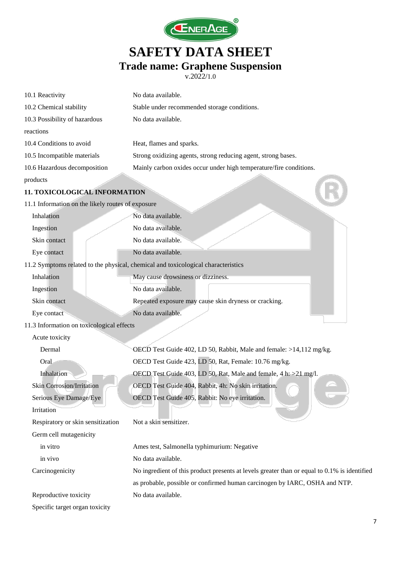

| 10.1 Reactivity                                   | No data available.                                                                           |  |
|---------------------------------------------------|----------------------------------------------------------------------------------------------|--|
| 10.2 Chemical stability                           | Stable under recommended storage conditions.                                                 |  |
| 10.3 Possibility of hazardous                     | No data available.                                                                           |  |
| reactions                                         |                                                                                              |  |
| 10.4 Conditions to avoid                          | Heat, flames and sparks.                                                                     |  |
| 10.5 Incompatible materials                       | Strong oxidizing agents, strong reducing agent, strong bases.                                |  |
| 10.6 Hazardous decomposition                      | Mainly carbon oxides occur under high temperature/fire conditions.                           |  |
| products                                          |                                                                                              |  |
| 11. TOXICOLOGICAL INFORMATION                     |                                                                                              |  |
| 11.1 Information on the likely routes of exposure |                                                                                              |  |
| Inhalation                                        | No data available.                                                                           |  |
| Ingestion                                         | No data available.                                                                           |  |
| Skin contact                                      | No data available.                                                                           |  |
| Eye contact                                       | No data available.                                                                           |  |
|                                                   | 11.2 Symptoms related to the physical, chemical and toxicological characteristics            |  |
| Inhalation                                        | May cause drowsiness or dizziness.                                                           |  |
| Ingestion                                         | No data available.                                                                           |  |
| Skin contact                                      | Repeated exposure may cause skin dryness or cracking.                                        |  |
| Eye contact                                       | No data available.                                                                           |  |
| 11.3 Information on toxicological effects         |                                                                                              |  |
| Acute toxicity                                    |                                                                                              |  |
| Dermal                                            | OECD Test Guide 402, LD 50, Rabbit, Male and female: >14,112 mg/kg.                          |  |
| Oral                                              | OECD Test Guide 423, LD 50, Rat, Female: 10.76 mg/kg.                                        |  |
| Inhalation                                        | OECD Test Guide 403, LD 50, Rat, Male and female, 4 h: >21 mg/l.                             |  |
| <b>Skin Corrosion/Irritation</b>                  | OECD Test Guide 404, Rabbit, 4h: No skin irritation.                                         |  |
| Serious Eye Damage/Eye                            | OECD Test Guide 405, Rabbit: No eye irritation.                                              |  |
| Irritation                                        |                                                                                              |  |
| Respiratory or skin sensitization                 | Not a skin sensitizer.                                                                       |  |
| Germ cell mutagenicity                            |                                                                                              |  |
| in vitro                                          | Ames test, Salmonella typhimurium: Negative                                                  |  |
| in vivo                                           | No data available.                                                                           |  |
| Carcinogenicity                                   | No ingredient of this product presents at levels greater than or equal to 0.1% is identified |  |
|                                                   | as probable, possible or confirmed human carcinogen by IARC, OSHA and NTP.                   |  |
| Reproductive toxicity                             | No data available.                                                                           |  |
| Specific target organ toxicity                    |                                                                                              |  |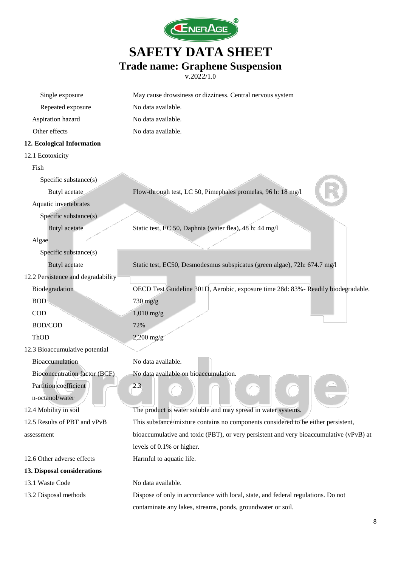

| Single exposure                      | May cause drowsiness or dizziness. Central nervous system                              |  |  |
|--------------------------------------|----------------------------------------------------------------------------------------|--|--|
| Repeated exposure                    | No data available.                                                                     |  |  |
| Aspiration hazard                    | No data available.                                                                     |  |  |
| Other effects                        | No data available.                                                                     |  |  |
| 12. Ecological Information           |                                                                                        |  |  |
| 12.1 Ecotoxicity                     |                                                                                        |  |  |
| Fish                                 |                                                                                        |  |  |
| Specific substance(s)                |                                                                                        |  |  |
| Butyl acetate                        | Flow-through test, LC 50, Pimephales promelas, 96 h: 18 mg/l                           |  |  |
| Aquatic invertebrates                |                                                                                        |  |  |
| Specific substance(s)                |                                                                                        |  |  |
| <b>Butyl</b> acetate                 | Static test, EC 50, Daphnia (water flea), 48 h: 44 mg/l                                |  |  |
| Algae                                |                                                                                        |  |  |
| Specific substance(s)                |                                                                                        |  |  |
| <b>Butyl</b> acetate                 | Static test, EC50, Desmodesmus subspicatus (green algae), 72h: 674.7 mg/l              |  |  |
| 12.2 Persistence and degradability   |                                                                                        |  |  |
| Biodegradation                       | OECD Test Guideline 301D, Aerobic, exposure time 28d: 83% - Readily biodegradable.     |  |  |
| <b>BOD</b>                           | 730 mg/g                                                                               |  |  |
| <b>COD</b>                           | $1,010$ mg/g                                                                           |  |  |
| BOD/COD                              | 72%                                                                                    |  |  |
| ThOD                                 | $2,200$ mg/g                                                                           |  |  |
| 12.3 Bioaccumulative potential       |                                                                                        |  |  |
| Bioaccumulation                      | No data available.                                                                     |  |  |
| <b>Bioconcentration factor (BCF)</b> | No data available on bioaccumulation.                                                  |  |  |
| Partition coefficient                | 2.3                                                                                    |  |  |
| n-octanol/water                      |                                                                                        |  |  |
| 12.4 Mobility in soil                | The product is water soluble and may spread in water systems.                          |  |  |
| 12.5 Results of PBT and vPvB         | This substance/mixture contains no components considered to be either persistent,      |  |  |
| assessment                           | bioaccumulative and toxic (PBT), or very persistent and very bioaccumulative (vPvB) at |  |  |
|                                      | levels of 0.1% or higher.                                                              |  |  |
| 12.6 Other adverse effects           | Harmful to aquatic life.                                                               |  |  |
| 13. Disposal considerations          |                                                                                        |  |  |
| 13.1 Waste Code                      | No data available.                                                                     |  |  |
| 13.2 Disposal methods                | Dispose of only in accordance with local, state, and federal regulations. Do not       |  |  |
|                                      | contaminate any lakes, streams, ponds, groundwater or soil.                            |  |  |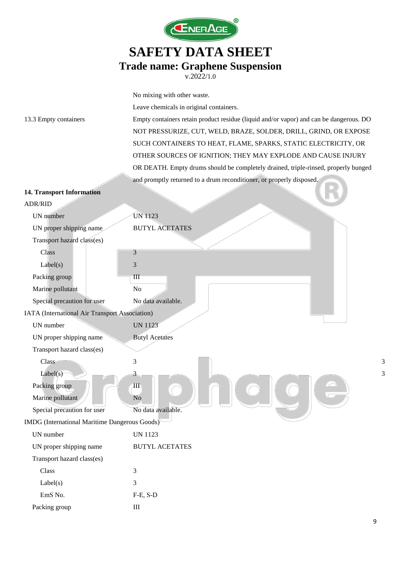

|                                                | No mixing with other waste.                                                            |  |  |
|------------------------------------------------|----------------------------------------------------------------------------------------|--|--|
|                                                | Leave chemicals in original containers.                                                |  |  |
| 13.3 Empty containers                          | Empty containers retain product residue (liquid and/or vapor) and can be dangerous. DO |  |  |
|                                                | NOT PRESSURIZE, CUT, WELD, BRAZE, SOLDER, DRILL, GRIND, OR EXPOSE                      |  |  |
|                                                | SUCH CONTAINERS TO HEAT, FLAME, SPARKS, STATIC ELECTRICITY, OR                         |  |  |
|                                                | OTHER SOURCES OF IGNITION; THEY MAY EXPLODE AND CAUSE INJURY                           |  |  |
|                                                | OR DEATH. Empty drums should be completely drained, triple-rinsed, properly bunged     |  |  |
|                                                | and promptly returned to a drum reconditioner, or properly disposed.                   |  |  |
| <b>14. Transport Information</b>               |                                                                                        |  |  |
| <b>ADR/RID</b>                                 |                                                                                        |  |  |
| UN number                                      | <b>UN 1123</b>                                                                         |  |  |
| UN proper shipping name                        | <b>BUTYL ACETATES</b>                                                                  |  |  |
| Transport hazard class(es)                     |                                                                                        |  |  |
| Class                                          | 3                                                                                      |  |  |
| Label(s)                                       | 3                                                                                      |  |  |
| Packing group                                  | $\mathbf{III}$                                                                         |  |  |
| Marine pollutant                               | N <sub>o</sub>                                                                         |  |  |
| Special precaution for user                    | No data available.                                                                     |  |  |
| IATA (International Air Transport Association) |                                                                                        |  |  |
| UN number                                      | <b>UN 1123</b>                                                                         |  |  |
| UN proper shipping name                        | <b>Butyl Acetates</b>                                                                  |  |  |
| Transport hazard class(es)                     |                                                                                        |  |  |
| Class                                          | 3<br>3                                                                                 |  |  |
| Label(s)                                       | 3<br>3                                                                                 |  |  |
| Packing group                                  | $\rm III$                                                                              |  |  |
| Marine pollutant                               | N <sub>o</sub>                                                                         |  |  |
| Special precaution for user                    | No data available.                                                                     |  |  |
| IMDG (International Maritime Dangerous Goods)  |                                                                                        |  |  |
| UN number                                      | <b>UN 1123</b>                                                                         |  |  |
| UN proper shipping name                        | <b>BUTYL ACETATES</b>                                                                  |  |  |
| Transport hazard class(es)                     |                                                                                        |  |  |
| Class                                          | 3                                                                                      |  |  |
| Label(s)                                       | 3                                                                                      |  |  |
| EmS No.                                        | $F-E$ , $S-D$                                                                          |  |  |
| Packing group                                  | $\rm III$                                                                              |  |  |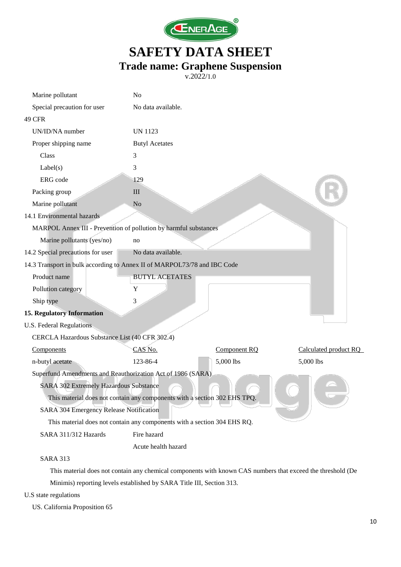

v.2022/1.0

| Marine pollutant                                                         | N <sub>o</sub>                                                            |              |                       |  |
|--------------------------------------------------------------------------|---------------------------------------------------------------------------|--------------|-----------------------|--|
| Special precaution for user                                              | No data available.                                                        |              |                       |  |
| <b>49 CFR</b>                                                            |                                                                           |              |                       |  |
| UN/ID/NA number                                                          | <b>UN 1123</b>                                                            |              |                       |  |
| Proper shipping name                                                     | <b>Butyl Acetates</b>                                                     |              |                       |  |
| Class                                                                    | 3                                                                         |              |                       |  |
| Label(s)                                                                 | 3                                                                         |              |                       |  |
| ERG code                                                                 | 129                                                                       |              |                       |  |
| Packing group                                                            | III                                                                       |              |                       |  |
| Marine pollutant                                                         | No                                                                        |              |                       |  |
| 14.1 Environmental hazards                                               |                                                                           |              |                       |  |
| MARPOL Annex III - Prevention of pollution by harmful substances         |                                                                           |              |                       |  |
| Marine pollutants (yes/no)                                               | no                                                                        |              |                       |  |
| 14.2 Special precautions for user                                        | No data available.                                                        |              |                       |  |
| 14.3 Transport in bulk according to Annex II of MARPOL73/78 and IBC Code |                                                                           |              |                       |  |
| Product name                                                             | <b>BUTYL ACETATES</b>                                                     |              |                       |  |
| Pollution category                                                       | Y                                                                         |              |                       |  |
| Ship type                                                                | 3                                                                         |              |                       |  |
| <b>15. Regulatory Information</b>                                        |                                                                           |              |                       |  |
| U.S. Federal Regulations                                                 |                                                                           |              |                       |  |
| CERCLA Hazardous Substance List (40 CFR 302.4)                           |                                                                           |              |                       |  |
| Components                                                               | CAS No.                                                                   | Component RQ | Calculated product RQ |  |
| n-butyl acetate                                                          | 123-86-4                                                                  | 5,000 lbs    | 5,000 lbs             |  |
| Superfund Amendments and Reauthorization Act of 1986 (SARA)              |                                                                           |              |                       |  |
| SARA 302 Extremely Hazardous Substance                                   |                                                                           |              |                       |  |
|                                                                          | This material does not contain any components with a section 302 EHS TPQ. |              |                       |  |
| SARA 304 Emergency Release Notification                                  |                                                                           |              |                       |  |
| This material does not contain any components with a section 304 EHS RQ. |                                                                           |              |                       |  |
| SARA 311/312 Hazards                                                     | Fire hazard                                                               |              |                       |  |
|                                                                          | Acute health hazard                                                       |              |                       |  |
| <b>SARA 313</b>                                                          |                                                                           |              |                       |  |

This material does not contain any chemical components with known CAS numbers that exceed the threshold (De Minimis) reporting levels established by SARA Title III, Section 313.

U.S state regulations

US. California Proposition 65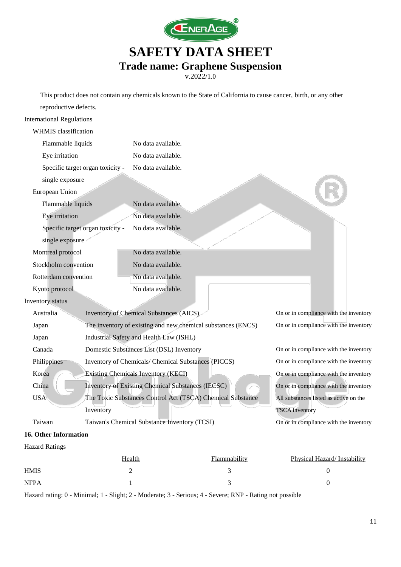

v.2022/1.0

This product does not contain any chemicals known to the State of California to cause cancer, birth, or any other

| reproductive defects.            |                                                              |                                                |                                        |                                        |
|----------------------------------|--------------------------------------------------------------|------------------------------------------------|----------------------------------------|----------------------------------------|
| <b>International Regulations</b> |                                                              |                                                |                                        |                                        |
| <b>WHMIS</b> classification      |                                                              |                                                |                                        |                                        |
| Flammable liquids                |                                                              | No data available.                             |                                        |                                        |
| Eye irritation                   |                                                              | No data available.                             |                                        |                                        |
| Specific target organ toxicity - |                                                              | No data available.                             |                                        |                                        |
| single exposure                  |                                                              |                                                |                                        |                                        |
| European Union                   |                                                              |                                                |                                        |                                        |
| Flammable liquids                |                                                              | No data available.                             |                                        |                                        |
| Eye irritation                   |                                                              | No data available.                             |                                        |                                        |
| Specific target organ toxicity - |                                                              | No data available.                             |                                        |                                        |
| single exposure                  |                                                              |                                                |                                        |                                        |
| Montreal protocol                |                                                              | No data available.                             |                                        |                                        |
| Stockholm convention             |                                                              | No data available.                             |                                        |                                        |
| Rotterdam convention             |                                                              | No data available.                             |                                        |                                        |
| Kyoto protocol                   |                                                              | No data available.                             |                                        |                                        |
| Inventory status                 |                                                              |                                                |                                        |                                        |
| Australia                        |                                                              | <b>Inventory of Chemical Substances (AICS)</b> |                                        | On or in compliance with the inventory |
| Japan                            | The inventory of existing and new chemical substances (ENCS) |                                                | On or in compliance with the inventory |                                        |
| Japan                            | Industrial Safety and Health Law (ISHL)                      |                                                |                                        |                                        |
| Canada                           |                                                              | Domestic Substances List (DSL) Inventory       |                                        | On or in compliance with the inventory |
| Philippines                      | Inventory of Chemicals/ Chemical Substances (PICCS)          |                                                |                                        | On or in compliance with the inventory |
| Korea                            | <b>Existing Chemicals Inventory (KECI)</b>                   |                                                |                                        | On or in compliance with the inventory |
| China                            | Inventory of Existing Chemical Substances (IECSC)            |                                                |                                        | On or in compliance with the inventory |
| <b>USA</b>                       | The Toxic Substances Control Act (TSCA) Chemical Substance   |                                                |                                        | All substances listed as active on the |
|                                  | Inventory                                                    |                                                |                                        | <b>TSCA</b> inventory                  |
| Taiwan                           | Taiwan's Chemical Substance Inventory (TCSI)                 |                                                | On or in compliance with the inventory |                                        |
| 16. Other Information            |                                                              |                                                |                                        |                                        |
| <b>Hazard Ratings</b>            |                                                              |                                                |                                        |                                        |
|                                  |                                                              | Health                                         | Flammability                           | Physical Hazard/Instability            |

Hazard rating: 0 - Minimal; 1 - Slight; 2 - Moderate; 3 - Serious; 4 - Severe; RNP - Rating not possible

HMIS  $2$  3 0  $NFPA$  and  $1$  and  $3$  0